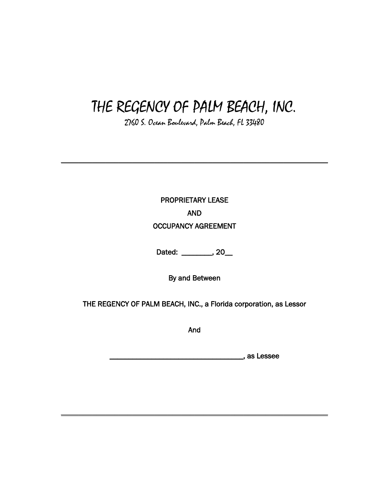# THE REGENCY OF PALM BEACH, INC.

2760 S. Ocean Boulevard, Palm Beach, FL 33480

**\_\_\_\_\_\_\_\_\_\_\_\_\_\_\_\_\_\_\_\_\_\_\_\_\_\_\_\_\_\_\_\_\_\_\_\_\_\_\_\_\_\_\_\_\_\_\_\_\_\_\_\_\_\_\_\_\_\_\_\_**

PROPRIETARY LEASE AND OCCUPANCY AGREEMENT

Dated: \_\_\_\_\_\_\_\_, 20\_\_

By and Between

THE REGENCY OF PALM BEACH, INC., a Florida corporation, as Lessor

And

\_\_\_\_\_\_\_\_\_\_\_\_\_\_\_\_\_\_\_\_\_\_\_\_\_\_\_\_\_\_\_\_\_\_\_, as Lessee

**\_\_\_\_\_\_\_\_\_\_\_\_\_\_\_\_\_\_\_\_\_\_\_\_\_\_\_\_\_\_\_\_\_\_\_\_\_\_\_\_\_\_\_\_\_\_\_\_\_\_\_\_\_\_\_\_\_\_\_\_**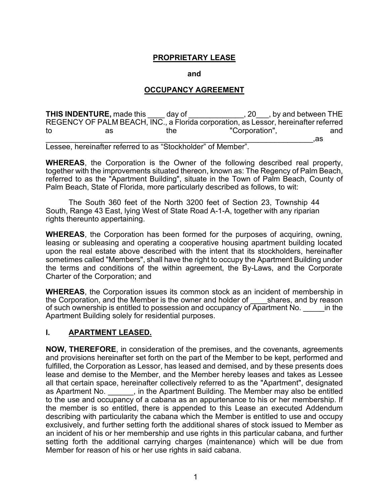### **PROPRIETARY LEASE**

**and**

#### **OCCUPANCY AGREEMENT**

**THIS INDENTURE,** made this day of the same of the set of the set of the set of the set of the set of the set of the set of the set of the set of the set of the set of the set of the set of the set of the set of the set of REGENCY OF PALM BEACH, INC., a Florida corporation, as Lessor, hereinafter referred<br>to the "Corporation". and as the "Corporation",  $\rm as$  ,  $\rm as$ 

Lessee, hereinafter referred to as "Stockholder" of Member".

**WHEREAS**, the Corporation is the Owner of the following described real property, together with the improvements situated thereon, known as: The Regency of Palm Beach, referred to as the "Apartment Building", situate in the Town of Palm Beach, County of Palm Beach, State of Florida, more particularly described as follows, to wit:

The South 360 feet of the North 3200 feet of Section 23, Township 44 South, Range 43 East, lying West of State Road A-1-A, together with any riparian rights thereunto appertaining.

**WHEREAS**, the Corporation has been formed for the purposes of acquiring, owning, leasing or subleasing and operating a cooperative housing apartment building located upon the real estate above described with the intent that its stockholders, hereinafter sometimes called "Members", shall have the right to occupy the Apartment Building under the terms and conditions of the within agreement, the By-Laws, and the Corporate Charter of the Corporation; and

**WHEREAS**, the Corporation issues its common stock as an incident of membership in the Corporation, and the Member is the owner and holder of shares, and by reason the Corporation, and the Member is the owner and holder of of such ownership is entitled to possession and occupancy of Apartment No. \_\_\_\_\_\_ in the Apartment Building solely for residential purposes.

#### **I. APARTMENT LEASED.**

**NOW, THEREFORE**, in consideration of the premises, and the covenants, agreements and provisions hereinafter set forth on the part of the Member to be kept, performed and fulfilled, the Corporation as Lessor, has leased and demised, and by these presents does lease and demise to the Member, and the Member hereby leases and takes as Lessee all that certain space, hereinafter collectively referred to as the "Apartment", designated as Apartment No. \_\_\_\_\_\_, in the Apartment Building. The Member may also be entitled to the use and occupancy of a cabana as an appurtenance to his or her membership. If the member is so entitled, there is appended to this Lease an executed Addendum describing with particularity the cabana which the Member is entitled to use and occupy exclusively, and further setting forth the additional shares of stock issued to Member as an incident of his or her membership and use rights in this particular cabana, and further setting forth the additional carrying charges (maintenance) which will be due from Member for reason of his or her use rights in said cabana.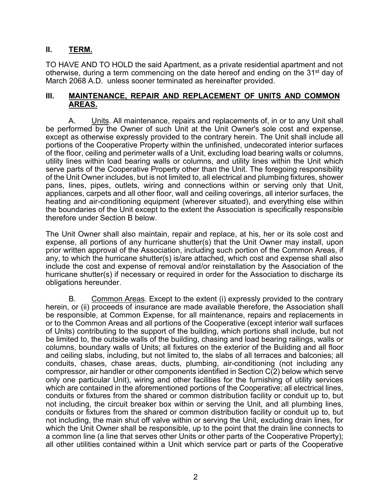### **II. TERM.**

TO HAVE AND TO HOLD the said Apartment, as a private residential apartment and not otherwise, during a term commencing on the date hereof and ending on the 31st day of March 2068 A.D. unless sooner terminated as hereinafter provided.

#### **III. MAINTENANCE, REPAIR AND REPLACEMENT OF UNITS AND COMMON AREAS.**

A. Units. All maintenance, repairs and replacements of, in or to any Unit shall be performed by the Owner of such Unit at the Unit Owner's sole cost and expense, except as otherwise expressly provided to the contrary herein. The Unit shall include all portions of the Cooperative Property within the unfinished, undecorated interior surfaces of the floor, ceiling and perimeter walls of a Unit, excluding load bearing walls or columns, utility lines within load bearing walls or columns, and utility lines within the Unit which serve parts of the Cooperative Property other than the Unit. The foregoing responsibility of the Unit Owner includes, but is not limited to, all electrical and plumbing fixtures, shower pans, lines, pipes, outlets, wiring and connections within or serving only that Unit, appliances, carpets and all other floor, wall and ceiling coverings, all interior surfaces, the heating and air-conditioning equipment (wherever situated), and everything else within the boundaries of the Unit except to the extent the Association is specifically responsible therefore under Section B below.

The Unit Owner shall also maintain, repair and replace, at his, her or its sole cost and expense, all portions of any hurricane shutter(s) that the Unit Owner may install, upon prior written approval of the Association, including such portion of the Common Areas, if any, to which the hurricane shutter(s) is/are attached, which cost and expense shall also include the cost and expense of removal and/or reinstallation by the Association of the hurricane shutter(s) if necessary or required in order for the Association to discharge its obligations hereunder.

B. Common Areas. Except to the extent (i) expressly provided to the contrary herein, or (ii) proceeds of insurance are made available therefore, the Association shall be responsible, at Common Expense, for all maintenance, repairs and replacements in or to the Common Areas and all portions of the Cooperative (except interior wall surfaces of Units) contributing to the support of the building, which portions shall include, but not be limited to, the outside walls of the building, chasing and load bearing railings, walls or columns, boundary walls of Units; all fixtures on the exterior of the Building and all floor and ceiling slabs, including, but not limited to, the slabs of all terraces and balconies; all conduits, chases, chase areas, ducts, plumbing, air-conditioning (not including any compressor, air handler or other components identified in Section C(2) below which serve only one particular Unit), wiring and other facilities for the furnishing of utility services which are contained in the aforementioned portions of the Cooperative; all electrical lines, conduits or fixtures from the shared or common distribution facility or conduit up to, but not including, the circuit breaker box within or serving the Unit, and all plumbing lines, conduits or fixtures from the shared or common distribution facility or conduit up to, but not including, the main shut off valve within or serving the Unit, excluding drain lines, for which the Unit Owner shall be responsible, up to the point that the drain line connects to a common line (a line that serves other Units or other parts of the Cooperative Property); all other utilities contained within a Unit which service part or parts of the Cooperative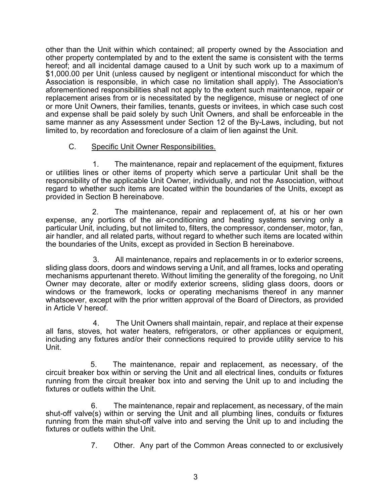other than the Unit within which contained; all property owned by the Association and other property contemplated by and to the extent the same is consistent with the terms hereof; and all incidental damage caused to a Unit by such work up to a maximum of \$1,000.00 per Unit (unless caused by negligent or intentional misconduct for which the Association is responsible, in which case no limitation shall apply). The Association's aforementioned responsibilities shall not apply to the extent such maintenance, repair or replacement arises from or is necessitated by the negligence, misuse or neglect of one or more Unit Owners, their families, tenants, guests or invitees, in which case such cost and expense shall be paid solely by such Unit Owners, and shall be enforceable in the same manner as any Assessment under Section 12 of the By-Laws, including, but not limited to, by recordation and foreclosure of a claim of lien against the Unit.

## C. Specific Unit Owner Responsibilities.

1. The maintenance, repair and replacement of the equipment, fixtures or utilities lines or other items of property which serve a particular Unit shall be the responsibility of the applicable Unit Owner, individually, and not the Association, without regard to whether such items are located within the boundaries of the Units, except as provided in Section B hereinabove.

2. The maintenance, repair and replacement of, at his or her own expense, any portions of the air-conditioning and heating systems serving only a particular Unit, including, but not limited to, filters, the compressor, condenser, motor, fan, air handler, and all related parts, without regard to whether such items are located within the boundaries of the Units, except as provided in Section B hereinabove.

3. All maintenance, repairs and replacements in or to exterior screens, sliding glass doors, doors and windows serving a Unit, and all frames, locks and operating mechanisms appurtenant thereto. Without limiting the generality of the foregoing, no Unit Owner may decorate, alter or modify exterior screens, sliding glass doors, doors or windows or the framework, locks or operating mechanisms thereof in any manner whatsoever, except with the prior written approval of the Board of Directors, as provided in Article V hereof.

4. The Unit Owners shall maintain, repair, and replace at their expense all fans, stoves, hot water heaters, refrigerators, or other appliances or equipment, including any fixtures and/or their connections required to provide utility service to his Unit.

5. The maintenance, repair and replacement, as necessary, of the circuit breaker box within or serving the Unit and all electrical lines, conduits or fixtures running from the circuit breaker box into and serving the Unit up to and including the fixtures or outlets within the Unit.

6. The maintenance, repair and replacement, as necessary, of the main shut-off valve(s) within or serving the Unit and all plumbing lines, conduits or fixtures running from the main shut-off valve into and serving the Unit up to and including the fixtures or outlets within the Unit.

7. Other. Any part of the Common Areas connected to or exclusively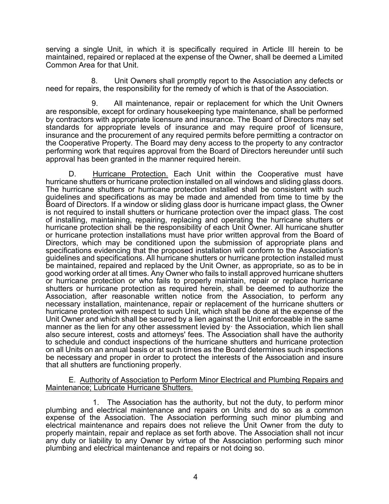serving a single Unit, in which it is specifically required in Article III herein to be maintained, repaired or replaced at the expense of the Owner, shall be deemed a Limited Common Area for that Unit.

8. Unit Owners shall promptly report to the Association any defects or need for repairs, the responsibility for the remedy of which is that of the Association.

9. All maintenance, repair or replacement for which the Unit Owners are responsible, except for ordinary housekeeping type maintenance, shall be performed by contractors with appropriate licensure and insurance. The Board of Directors may set standards for appropriate levels of insurance and may require proof of licensure, insurance and the procurement of any required permits before permitting a contractor on the Cooperative Property. The Board may deny access to the property to any contractor performing work that requires approval from the Board of Directors hereunder until such approval has been granted in the manner required herein.

D. Hurricane Protection. Each Unit within the Cooperative must have hurricane shutters or hurricane protection installed on all windows and sliding glass doors. The hurricane shutters or hurricane protection installed shall be consistent with such guidelines and specifications as may be made and amended from time to time by the Board of Directors. If a window or sliding glass door is hurricane impact glass, the Owner is not required to install shutters or hurricane protection over the impact glass. The cost of installing, maintaining, repairing, replacing and operating the hurricane shutters or hurricane protection shall be the responsibility of each Unit Owner. All hurricane shutter or hurricane protection installations must have prior written approval from the Board of Directors, which may be conditioned upon the submission of appropriate plans and specifications evidencing that the proposed installation will conform to the Association's guidelines and specifications. All hurricane shutters or hurricane protection installed must be maintained, repaired and replaced by the Unit Owner, as appropriate, so as to be in good working order at all times. Any Owner who fails to install approved hurricane shutters or hurricane protection or who fails to properly maintain, repair or replace hurricane shutters or hurricane protection as required herein, shall be deemed to authorize the Association, after reasonable written notice from the Association, to perform any necessary installation, maintenance, repair or replacement of the hurricane shutters or hurricane protection with respect to such Unit, which shall be done at the expense of the Unit Owner and which shall be secured by a lien against the Unit enforceable in the same manner as the lien for any other assessment levied by· the Association, which lien shall also secure interest, costs and attorneys' fees. The Association shall have the authority to schedule and conduct inspections of the hurricane shutters and hurricane protection on all Units on an annual basis or at such times as the Board determines such inspections be necessary and proper in order to protect the interests of the Association and insure that all shutters are functioning properly.

#### E. Authority of Association to Perform Minor Electrical and Plumbing Repairs and Maintenance; Lubricate Hurricane Shutters.

1. The Association has the authority, but not the duty, to perform minor plumbing and electrical maintenance and repairs on Units and do so as a common expense of the Association. The Association performing such minor plumbing and electrical maintenance and repairs does not relieve the Unit Owner from the duty to properly maintain, repair and replace as set forth above. The Association shall not incur any duty or liability to any Owner by virtue of the Association performing such minor plumbing and electrical maintenance and repairs or not doing so.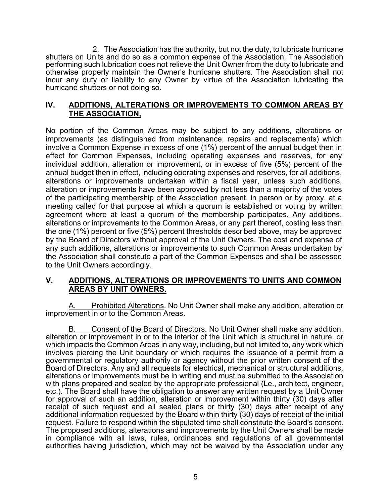2. The Association has the authority, but not the duty, to lubricate hurricane shutters on Units and do so as a common expense of the Association. The Association performing such lubrication does not relieve the Unit Owner from the duty to lubricate and otherwise properly maintain the Owner's hurricane shutters. The Association shall not incur any duty or liability to any Owner by virtue of the Association lubricating the hurricane shutters or not doing so.

### **IV. ADDITIONS, ALTERATIONS OR IMPROVEMENTS TO COMMON AREAS BY THE ASSOCIATION,**

No portion of the Common Areas may be subject to any additions, alterations or improvements (as distinguished from maintenance, repairs and replacements) which involve a Common Expense in excess of one (1%) percent of the annual budget then in effect for Common Expenses, including operating expenses and reserves, for any individual addition, alteration or improvement, or in excess of five (5%) percent of the annual budget then in effect, including operating expenses and reserves, for all additions, alterations or improvements undertaken within a fiscal year, unless such additions, alteration or improvements have been approved by not less than a majority of the votes of the participating membership of the Association present, in person or by proxy, at a meeting called for that purpose at which a quorum is established or voting by written agreement where at least a quorum of the membership participates. Any additions, alterations or improvements to the Common Areas, or any part thereof, costing less than the one (1%) percent or five (5%) percent thresholds described above, may be approved by the Board of Directors without approval of the Unit Owners. The cost and expense of any such additions, alterations or improvements to such Common Areas undertaken by the Association shall constitute a part of the Common Expenses and shall be assessed to the Unit Owners accordingly.

## **V. ADDITIONS, ALTERATIONS OR IMPROVEMENTS TO UNITS AND COMMON AREAS BY UNIT OWNERS.**

A. Prohibited Alterations. No Unit Owner shall make any addition, alteration or improvement in or to the Common Areas.

Consent of the Board of Directors. No Unit Owner shall make any addition, alteration or improvement in or to the interior of the Unit which is structural in nature, or which impacts the Common Areas in any way, including, but not limited to, any work which involves piercing the Unit boundary or which requires the issuance of a permit from a governmental or regulatory authority or agency without the prior written consent of the Board of Directors. Any and all requests for electrical, mechanical or structural additions, alterations or improvements must be in writing and must be submitted to the Association with plans prepared and sealed by the appropriate professional (Le., architect, engineer, etc.). The Board shall have the obligation to answer any written request by a Unit Owner for approval of such an addition, alteration or improvement within thirty (30) days after receipt of such request and all sealed plans or thirty (30) days after receipt of any additional information requested by the Board within thirty (30) days of receipt of the initial request. Failure to respond within the stipulated time shall constitute the Board's consent. The proposed additions, alterations and improvements by the Unit Owners shall be made in compliance with all laws, rules, ordinances and regulations of all governmental authorities having jurisdiction, which may not be waived by the Association under any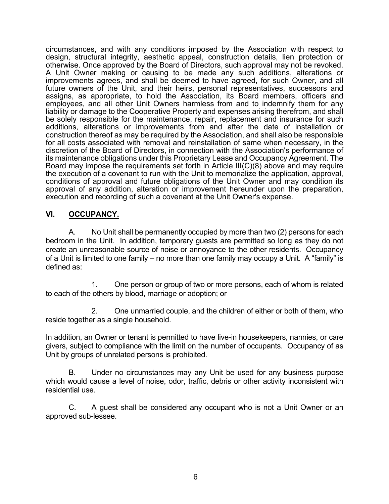circumstances, and with any conditions imposed by the Association with respect to design, structural integrity, aesthetic appeal, construction details, lien protection or otherwise. Once approved by the Board of Directors, such approval may not be revoked. A Unit Owner making or causing to be made any such additions, alterations or improvements agrees, and shall be deemed to have agreed, for such Owner, and all future owners of the Unit, and their heirs, personal representatives, successors and assigns, as appropriate, to hold the Association, its Board members, officers and employees, and all other Unit Owners harmless from and to indemnify them for any liability or damage to the Cooperative Property and expenses arising therefrom, and shall be solely responsible for the maintenance, repair, replacement and insurance for such additions, alterations or improvements from and after the date of installation or construction thereof as may be required by the Association, and shall also be responsible for all costs associated with removal and reinstallation of same when necessary, in the discretion of the Board of Directors, in connection with the Association's performance of its maintenance obligations under this Proprietary Lease and Occupancy Agreement. The Board may impose the requirements set forth in Article III(C)(8) above and may require the execution of a covenant to run with the Unit to memorialize the application, approval, conditions of approval and future obligations of the Unit Owner and may condition its approval of any addition, alteration or improvement hereunder upon the preparation, execution and recording of such a covenant at the Unit Owner's expense.

## **VI. OCCUPANCY.**

A. No Unit shall be permanently occupied by more than two (2) persons for each bedroom in the Unit. In addition, temporary guests are permitted so long as they do not create an unreasonable source of noise or annoyance to the other residents. Occupancy of a Unit is limited to one family – no more than one family may occupy a Unit. A "family" is defined as:

1. One person or group of two or more persons, each of whom is related to each of the others by blood, marriage or adoption; or

2. One unmarried couple, and the children of either or both of them, who reside together as a single household.

In addition, an Owner or tenant is permitted to have live-in housekeepers, nannies, or care givers, subject to compliance with the limit on the number of occupants. Occupancy of as Unit by groups of unrelated persons is prohibited.

B. Under no circumstances may any Unit be used for any business purpose which would cause a level of noise, odor, traffic, debris or other activity inconsistent with residential use.

C. A guest shall be considered any occupant who is not a Unit Owner or an approved sub-lessee.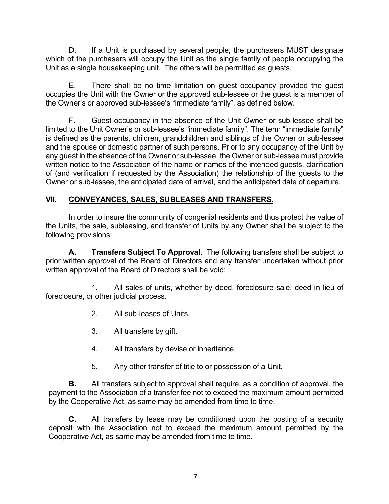D. If a Unit is purchased by several people, the purchasers MUST designate which of the purchasers will occupy the Unit as the single family of people occupying the Unit as a single housekeeping unit. The others will be permitted as guests.

E. There shall be no time limitation on guest occupancy provided the guest occupies the Unit with the Owner or the approved sub-lessee or the guest is a member of the Owner's or approved sub-lessee's "immediate family", as defined below.

F. Guest occupancy in the absence of the Unit Owner or sub-lessee shall be limited to the Unit Owner's or sub-lessee's "immediate family". The term "immediate family" is defined as the parents, children, grandchildren and siblings of the Owner or sub-lessee and the spouse or domestic partner of such persons. Prior to any occupancy of the Unit by any guest in the absence of the Owner or sub-lessee, the Owner or sub-lessee must provide written notice to the Association of the name or names of the intended guests, clarification of (and verification if requested by the Association) the relationship of the guests to the Owner or sub-lessee, the anticipated date of arrival, and the anticipated date of departure.

## **VII. CONVEYANCES, SALES, SUBLEASES AND TRANSFERS.**

In order to insure the community of congenial residents and thus protect the value of the Units, the sale, subleasing, and transfer of Units by any Owner shall be subject to the following provisions:

**A. Transfers Subject To Approval.** The following transfers shall be subject to prior written approval of the Board of Directors and any transfer undertaken without prior written approval of the Board of Directors shall be void:

1. All sales of units, whether by deed, foreclosure sale, deed in lieu of foreclosure, or other judicial process.

- 2. All sub-leases of Units.
- 3. All transfers by gift.
- 4. All transfers by devise or inheritance.
- 5. Any other transfer of title to or possession of a Unit.

**B.** All transfers subject to approval shall require, as a condition of approval, the payment to the Association of a transfer fee not to exceed the maximum amount permitted by the Cooperative Act, as same may be amended from time to time.

**C.** All transfers by lease may be conditioned upon the posting of a security deposit with the Association not to exceed the maximum amount permitted by the Cooperative Act, as same may be amended from time to time.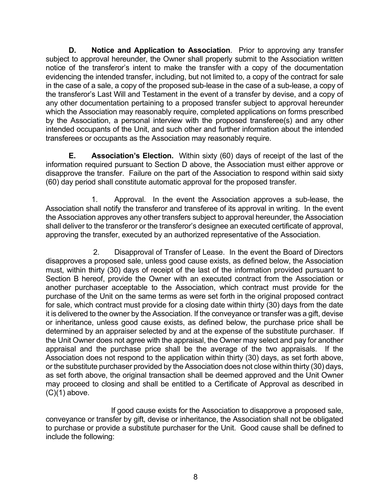**D. Notice and Application to Association**. Prior to approving any transfer subject to approval hereunder, the Owner shall properly submit to the Association written notice of the transferor's intent to make the transfer with a copy of the documentation evidencing the intended transfer, including, but not limited to, a copy of the contract for sale in the case of a sale, a copy of the proposed sub-lease in the case of a sub-lease, a copy of the transferor's Last Will and Testament in the event of a transfer by devise, and a copy of any other documentation pertaining to a proposed transfer subject to approval hereunder which the Association may reasonably require, completed applications on forms prescribed by the Association, a personal interview with the proposed transferee(s) and any other intended occupants of the Unit, and such other and further information about the intended transferees or occupants as the Association may reasonably require.

**E. Association's Election.** Within sixty (60) days of receipt of the last of the information required pursuant to Section D above, the Association must either approve or disapprove the transfer. Failure on the part of the Association to respond within said sixty (60) day period shall constitute automatic approval for the proposed transfer.

1. Approval. In the event the Association approves a sub-lease, the Association shall notify the transferor and transferee of its approval in writing. In the event the Association approves any other transfers subject to approval hereunder, the Association shall deliver to the transferor or the transferor's designee an executed certificate of approval, approving the transfer, executed by an authorized representative of the Association.

2. Disapproval of Transfer of Lease. In the event the Board of Directors disapproves a proposed sale, unless good cause exists, as defined below, the Association must, within thirty (30) days of receipt of the last of the information provided pursuant to Section B hereof, provide the Owner with an executed contract from the Association or another purchaser acceptable to the Association, which contract must provide for the purchase of the Unit on the same terms as were set forth in the original proposed contract for sale, which contract must provide for a closing date within thirty (30) days from the date it is delivered to the owner by the Association. If the conveyance or transfer was a gift, devise or inheritance, unless good cause exists, as defined below, the purchase price shall be determined by an appraiser selected by and at the expense of the substitute purchaser. If the Unit Owner does not agree with the appraisal, the Owner may select and pay for another appraisal and the purchase price shall be the average of the two appraisals. If the Association does not respond to the application within thirty (30) days, as set forth above, or the substitute purchaser provided by the Association does not close within thirty (30) days, as set forth above, the original transaction shall be deemed approved and the Unit Owner may proceed to closing and shall be entitled to a Certificate of Approval as described in  $(C)(1)$  above.

If good cause exists for the Association to disapprove a proposed sale, conveyance or transfer by gift, devise or inheritance, the Association shall not be obligated to purchase or provide a substitute purchaser for the Unit. Good cause shall be defined to include the following: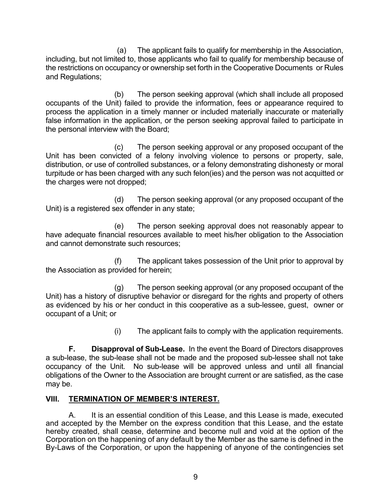(a) The applicant fails to qualify for membership in the Association, including, but not limited to, those applicants who fail to qualify for membership because of the restrictions on occupancy or ownership set forth in the Cooperative Documents or Rules and Regulations;

(b) The person seeking approval (which shall include all proposed occupants of the Unit) failed to provide the information, fees or appearance required to process the application in a timely manner or included materially inaccurate or materially false information in the application, or the person seeking approval failed to participate in the personal interview with the Board;

(c) The person seeking approval or any proposed occupant of the Unit has been convicted of a felony involving violence to persons or property, sale, distribution, or use of controlled substances, or a felony demonstrating dishonesty or moral turpitude or has been charged with any such felon(ies) and the person was not acquitted or the charges were not dropped;

(d) The person seeking approval (or any proposed occupant of the Unit) is a registered sex offender in any state;

(e) The person seeking approval does not reasonably appear to have adequate financial resources available to meet his/her obligation to the Association and cannot demonstrate such resources;

(f) The applicant takes possession of the Unit prior to approval by the Association as provided for herein;

(g) The person seeking approval (or any proposed occupant of the Unit) has a history of disruptive behavior or disregard for the rights and property of others as evidenced by his or her conduct in this cooperative as a sub-lessee, guest, owner or occupant of a Unit; or

(i) The applicant fails to comply with the application requirements.

**F. Disapproval of Sub-Lease.** In the event the Board of Directors disapproves a sub-lease, the sub-lease shall not be made and the proposed sub-lessee shall not take occupancy of the Unit. No sub-lease will be approved unless and until all financial obligations of the Owner to the Association are brought current or are satisfied, as the case may be.

# **VIII. TERMINATION OF MEMBER'S INTEREST.**

A. It is an essential condition of this Lease, and this Lease is made, executed and accepted by the Member on the express condition that this Lease, and the estate hereby created, shall cease, determine and become null and void at the option of the Corporation on the happening of any default by the Member as the same is defined in the By-Laws of the Corporation, or upon the happening of anyone of the contingencies set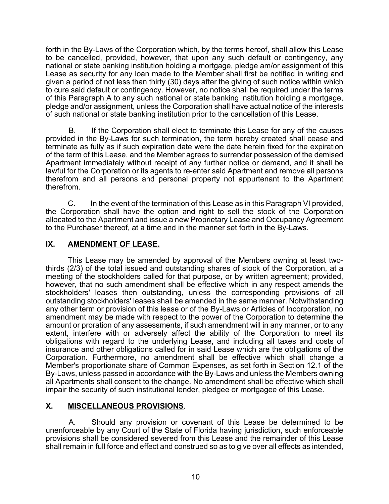forth in the By-Laws of the Corporation which, by the terms hereof, shall allow this Lease to be cancelled, provided, however, that upon any such default or contingency, any national or state banking institution holding a mortgage, pledge am/or assignment of this Lease as security for any loan made to the Member shall first be notified in writing and given a period of not less than thirty (30) days after the giving of such notice within which to cure said default or contingency. However, no notice shall be required under the terms of this Paragraph A to any such national or state banking institution holding a mortgage, pledge and/or assignment, unless the Corporation shall have actual notice of the interests of such national or state banking institution prior to the cancellation of this Lease.

B. If the Corporation shall elect to terminate this Lease for any of the causes provided in the By-Laws for such termination, the term hereby created shall cease and terminate as fully as if such expiration date were the date herein fixed for the expiration of the term of this Lease, and the Member agrees to surrender possession of the demised Apartment immediately without receipt of any further notice or demand, and it shall be lawful for the Corporation or its agents to re-enter said Apartment and remove all persons therefrom and all persons and personal property not appurtenant to the Apartment therefrom.

C. In the event of the termination of this Lease as in this Paragraph VI provided, the Corporation shall have the option and right to sell the stock of the Corporation allocated to the Apartment and issue a new Proprietary Lease and Occupancy Agreement to the Purchaser thereof, at a time and in the manner set forth in the By-Laws.

## **IX. AMENDMENT OF LEASE.**

This Lease may be amended by approval of the Members owning at least twothirds (2/3) of the total issued and outstanding shares of stock of the Corporation, at a meeting of the stockholders called for that purpose, or by written agreement; provided, however, that no such amendment shall be effective which in any respect amends the stockholders' leases then outstanding, unless the corresponding provisions of all outstanding stockholders' leases shall be amended in the same manner. Notwithstanding any other term or provision of this lease or of the By-Laws or Articles of Incorporation, no amendment may be made with respect to the power of the Corporation to determine the amount or proration of any assessments, if such amendment will in any manner, or to any extent, interfere with or adversely affect the ability of the Corporation to meet its obligations with regard to the underlying Lease, and including all taxes and costs of insurance and other obligations called for in said Lease which are the obligations of the Corporation. Furthermore, no amendment shall be effective which shall change a Member's proportionate share of Common Expenses, as set forth in Section 12.1 of the By-Laws, unless passed in accordance with the By-Laws and unless the Members owning all Apartments shall consent to the change. No amendment shall be effective which shall impair the security of such institutional lender, pledgee or mortgagee of this Lease.

# **X. MISCELLANEOUS PROVISIONS**.

A. Should any provision or covenant of this Lease be determined to be unenforceable by any Court of the State of Florida having jurisdiction, such enforceable provisions shall be considered severed from this Lease and the remainder of this Lease shall remain in full force and effect and construed so as to give over all effects as intended,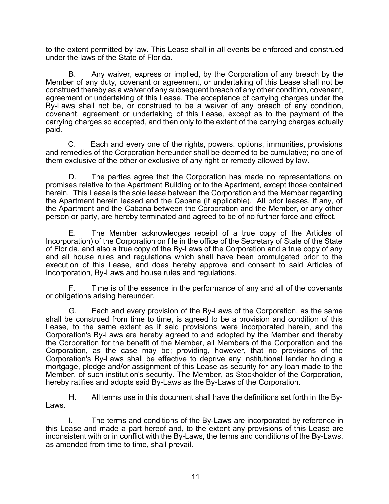to the extent permitted by law. This Lease shall in all events be enforced and construed under the laws of the State of Florida.

B. Any waiver, express or implied, by the Corporation of any breach by the Member of any duty, covenant or agreement, or undertaking of this Lease shall not be construed thereby as a waiver of any subsequent breach of any other condition, covenant, agreement or undertaking of this Lease. The acceptance of carrying charges under the By-Laws shall not be, or construed to be a waiver of any breach of any condition, covenant, agreement or undertaking of this Lease, except as to the payment of the carrying charges so accepted, and then only to the extent of the carrying charges actually paid.

C. Each and every one of the rights, powers, options, immunities, provisions and remedies of the Corporation hereunder shall be deemed to be cumulative; no one of them exclusive of the other or exclusive of any right or remedy allowed by law.

D. The parties agree that the Corporation has made no representations on promises relative to the Apartment Building or to the Apartment, except those contained herein. This Lease is the sole lease between the Corporation and the Member regarding the Apartment herein leased and the Cabana (if applicable). All prior leases, if any, of the Apartment and the Cabana between the Corporation and the Member, or any other person or party, are hereby terminated and agreed to be of no further force and effect.

E. The Member acknowledges receipt of a true copy of the Articles of Incorporation) of the Corporation on file in the office of the Secretary of State of the State of Florida, and also a true copy of the By-Laws of the Corporation and a true copy of any and all house rules and regulations which shall have been promulgated prior to the execution of this Lease, and does hereby approve and consent to said Articles of Incorporation, By-Laws and house rules and regulations.

F. Time is of the essence in the performance of any and all of the covenants or obligations arising hereunder.

G. Each and every provision of the By-Laws of the Corporation, as the same shall be construed from time to time, is agreed to be a provision and condition of this Lease, to the same extent as if said provisions were incorporated herein, and the Corporation's By-Laws are hereby agreed to and adopted by the Member and thereby the Corporation for the benefit of the Member, all Members of the Corporation and the Corporation, as the case may be; providing, however, that no provisions of the Corporation's By-Laws shall be effective to deprive any institutional lender holding a mortgage, pledge and/or assignment of this Lease as security for any loan made to the Member, of such institution's security. The Member, as Stockholder of the Corporation, hereby ratifies and adopts said By-Laws as the By-Laws of the Corporation.

H. All terms use in this document shall have the definitions set forth in the By- Laws.

I. The terms and conditions of the By-Laws are incorporated by reference in this Lease and made a part hereof and, to the extent any provisions of this Lease are inconsistent with or in conflict with the By-Laws, the terms and conditions of the By-Laws, as amended from time to time, shall prevail.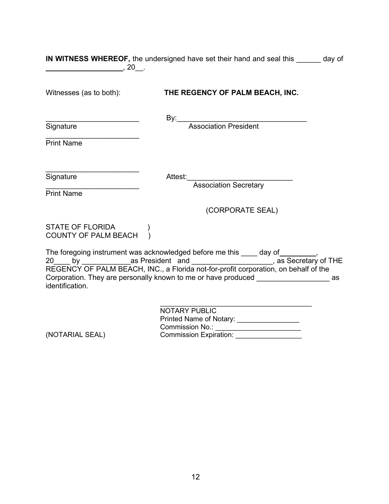| $\sim$ , 20 $\sim$                              | <b>IN WITNESS WHEREOF,</b> the undersigned have set their hand and seal this ______ day of                                                                                                                                                                                                                                                               |  |
|-------------------------------------------------|----------------------------------------------------------------------------------------------------------------------------------------------------------------------------------------------------------------------------------------------------------------------------------------------------------------------------------------------------------|--|
| Witnesses (as to both):                         | THE REGENCY OF PALM BEACH, INC.                                                                                                                                                                                                                                                                                                                          |  |
|                                                 | By: Association President                                                                                                                                                                                                                                                                                                                                |  |
| Signature<br><b>Print Name</b>                  |                                                                                                                                                                                                                                                                                                                                                          |  |
|                                                 |                                                                                                                                                                                                                                                                                                                                                          |  |
| Signature<br><b>Print Name</b>                  | Attest:<br>Association Secretary                                                                                                                                                                                                                                                                                                                         |  |
|                                                 | (CORPORATE SEAL)                                                                                                                                                                                                                                                                                                                                         |  |
| STATE OF FLORIDA<br><b>COUNTY OF PALM BEACH</b> |                                                                                                                                                                                                                                                                                                                                                          |  |
| identification.                                 | The foregoing instrument was acknowledged before me this ____ day of_________,<br>20____ by ________________as President and _______________________, as Secretary of THE<br>REGENCY OF PALM BEACH, INC., a Florida not-for-profit corporation, on behalf of the<br>Corporation. They are personally known to me or have produced ___________________ as |  |
| (NOTARIAL SEAL)                                 | <b>NOTARY PUBLIC</b><br>Printed Name of Notary: _________________<br>Commission No.: ________________________<br><b>Commission Expiration:</b>                                                                                                                                                                                                           |  |